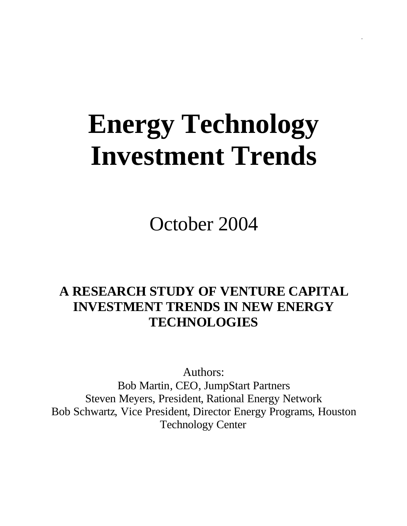# **Energy Technology Investment Trends**

October 2004

## **A RESEARCH STUDY OF VENTURE CAPITAL INVESTMENT TRENDS IN NEW ENERGY TECHNOLOGIES**

Authors: Bob Martin, CEO, JumpStart Partners Steven Meyers, President, Rational Energy Network Bob Schwartz, Vice President, Director Energy Programs, Houston Technology Center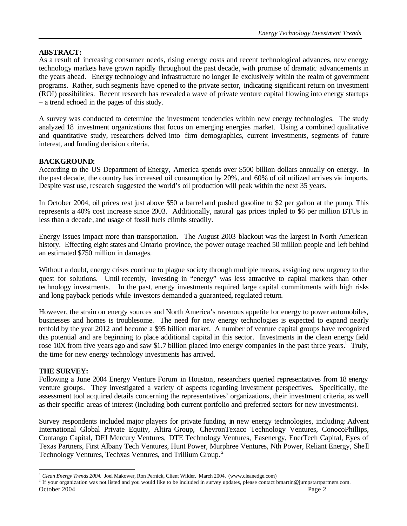#### **ABSTRACT:**

As a result of increasing consumer needs, rising energy costs and recent technological advances, new energy technology markets have grown rapidly throughout the past decade, with promise of dramatic advancements in the years ahead. Energy technology and infrastructure no longer lie exclusively within the realm of government programs. Rather, such segments have opened to the private sector, indicating significant return on investment (ROI) possibilities. Recent research has revealed a wave of private venture capital flowing into energy startups – a trend echoed in the pages of this study.

A survey was conducted to determine the investment tendencies within new energy technologies. The study analyzed 18 investment organizations that focus on emerging energies market. Using a combined qualitative and quantitative study, researchers delved into firm demographics, current investments, segments of future interest, and funding decision criteria.

#### **BACKGROUND:**

According to the US Department of Energy, America spends over \$500 billion dollars annually on energy. In the past decade, the country has increased oil consumption by 20%, and 60% of oil utilized arrives via imports. Despite vast use, research suggested the world's oil production will peak within the next 35 years.

In October 2004, oil prices rest just above \$50 a barrel and pushed gasoline to \$2 per gallon at the pump. This represents a 40% cost increase since 2003. Additionally, natural gas prices tripled to \$6 per million BTUs in less than a decade, and usage of fossil fuels climbs steadily.

Energy issues impact more than transportation. The August 2003 blackout was the largest in North American history. Effecting eight states and Ontario province, the power outage reached 50 million people and left behind an estimated \$750 million in damages.

Without a doubt, energy crises continue to plague society through multiple means, assigning new urgency to the quest for solutions. Until recently, investing in "energy" was less attractive to capital markets than other technology investments. In the past, energy investments required large capital commitments with high risks and long payback periods while investors demanded a guaranteed, regulated return.

However, the strain on energy sources and North America's ravenous appetite for energy to power automobiles, businesses and homes is troublesome. The need for new energy technologies is expected to expand nearly tenfold by the year 2012 and become a \$95 billion market. A number of venture capital groups have recognized this potential and are beginning to place additional capital in this sector. Investments in the clean energy field rose 10X from five years ago and saw \$1.7 billion placed into energy companies in the past three years.<sup>1</sup> Truly, the time for new energy technology investments has arrived.

#### **THE SURVEY:**

 $\overline{a}$ 

Following a June 2004 Energy Venture Forum in Houston, researchers queried representatives from 18 energy venture groups. They investigated a variety of aspects regarding investment perspectives. Specifically, the assessment tool acquired details concerning the representatives' organizations, their investment criteria, as well as their specific areas of interest (including both current portfolio and preferred sectors for new investments).

Survey respondents included major players for private funding in new energy technologies, including: Advent International Global Private Equity, Altira Group, ChevronTexaco Technology Ventures, ConocoPhillips, Contango Capital, DFJ Mercury Ventures, DTE Technology Ventures, Easenergy, EnerTech Capital, Eyes of Texas Partners, First Albany Tech Ventures, Hunt Power, Murphree Ventures, Nth Power, Reliant Energy, Shell Technology Ventures, Techxas Ventures, and Trillium Group. <sup>2</sup>

<sup>1</sup> *Clean Energy Trends 2004.* Joel Makower, Ron Pernick, Client Wilder. March 2004. (www.cleanedge.com)

October 2004 Page 2 <sup>2</sup> If your organization was not listed and you would like to be included in survey updates, please contact bmartin@jumpstartpartners.com.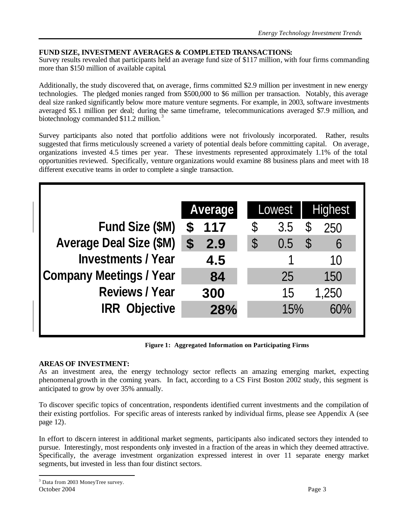#### **FUND SIZE, INVESTMENT AVERAGES & COMPLETED TRANSACTIONS:**

Survey results revealed that participants held an average fund size of \$117 million, with four firms commanding more than \$150 million of available capital.

Additionally, the study discovered that, on average, firms committed \$2.9 million per investment in new energy technologies. The pledged monies ranged from \$500,000 to \$6 million per transaction. Notably, this average deal size ranked significantly below more mature venture segments. For example, in 2003, software investments averaged \$5.1 million per deal; during the same timeframe, telecommunications averaged \$7.9 million, and biotechnology commanded \$11.2 million.<sup>3</sup>

Survey participants also noted that portfolio additions were not frivolously incorporated. Rather, results suggested that firms meticulously screened a variety of potential deals before committing capital. On average, organizations invested 4.5 times per year. These investments represented approximately 1.1% of the total opportunities reviewed. Specifically, venture organizations would examine 88 business plans and meet with 18 different executive teams in order to complete a single transaction.

|                                |                           | Average |               | Lowest | <b>Highest</b>      |
|--------------------------------|---------------------------|---------|---------------|--------|---------------------|
| Fund Size (\$M)                | S                         | 117     | \$            | 3.5    | \$<br>250           |
| <b>Average Deal Size (\$M)</b> | $\boldsymbol{\mathsf{S}}$ | 2.9     | $\mathcal{S}$ | 0.5    | \$<br>$\mathfrak b$ |
| <b>Investments / Year</b>      |                           | 4.5     |               |        | 10                  |
| <b>Company Meetings / Year</b> |                           | 84      |               | 25     | 150                 |
| <b>Reviews / Year</b>          |                           | 300     |               | 15     | 1,250               |
| <b>IRR Objective</b>           |                           | 28%     |               | 15%    | 60%                 |
|                                |                           |         |               |        |                     |

**Figure 1: Aggregated Information on Participating Firms**

#### **AREAS OF INVESTMENT:**

As an investment area, the energy technology sector reflects an amazing emerging market, expecting phenomenal growth in the coming years. In fact, according to a CS First Boston 2002 study, this segment is anticipated to grow by over 35% annually.

To discover specific topics of concentration, respondents identified current investments and the compilation of their existing portfolios. For specific areas of interests ranked by individual firms, please see Appendix A (see page 12).

In effort to discern interest in additional market segments, participants also indicated sectors they intended to pursue. Interestingly, most respondents only invested in a fraction of the areas in which they deemed attractive. Specifically, the average investment organization expressed interest in over 11 separate energy market segments, but invested in less than four distinct sectors.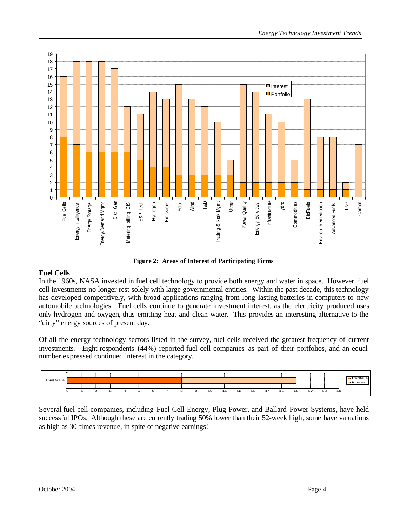

**Figure 2: Areas of Interest of Participating Firms**

#### **Fuel Cells**

In the 1960s, NASA invested in fuel cell technology to provide both energy and water in space. However, fuel cell investments no longer rest solely with large governmental entities. Within the past decade, this technology has developed competitively, with broad applications ranging from long-lasting batteries in computers to new automobile technologies. Fuel cells continue to generate investment interest, as the electricity produced uses only hydrogen and oxygen, thus emitting heat and clean water. This provides an interesting alternative to the "dirty" energy sources of present day.

Of all the energy technology sectors listed in the survey, fuel cells received the greatest frequency of current investments. Eight respondents (44%) reported fuel cell companies as part of their portfolios, and an equal number expressed continued interest in the category.



Several fuel cell companies, including Fuel Cell Energy, Plug Power, and Ballard Power Systems, have held successful IPOs. Although these are currently trading 50% lower than their 52-week high, some have valuations as high as 30-times revenue, in spite of negative earnings!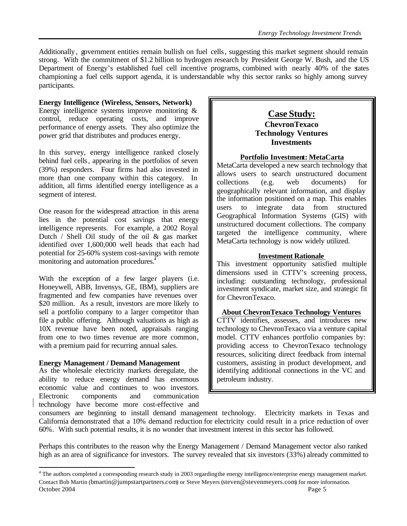Additionally, government entities remain bullish on fuel cells, suggesting this market segment should remain strong. With the commitment of \$1.2 billion to hydrogen research by President George W. Bush, and the US Department of Energy's established fuel cell incentive programs, combined with nearly 40% of the states championing a fuel cells support agenda, it is understandable why this sector ranks so highly among survey participants.

#### **Energy Intelligence (Wireless, Sensors, Network)**

Energy intelligence systems improve monitoring & control, reduce operating costs, and improve performance of energy assets. They also optimize the power grid that distributes and produces energy.

In this survey, energy intelligence ranked closely behind fuel cells, appearing in the portfolios of seven (39%) responders. Four firms had also invested in more than one company within this category. In addition, all firms identified energy intelligence as a segment of interest.

One reason for the widespread attraction in this arena lies in the potential cost savings that energy intelligence represents. For example, a 2002 Royal Dutch / Shell Oil study of the oil & gas market identified over 1,600,000 well heads that each had potential for 25-60% system cost-savings with remote monitoring and automation procedures.<sup>4</sup>

With the exception of a few larger players (i.e. Honeywell, ABB, Invensys, GE, IBM), suppliers are fragmented and few companies have revenues over \$20 million. As a result, investors are more likely to sell a portfolio company to a larger competitor than file a public offering. Although valuations as high as 10X revenue have been noted, appraisals ranging from one to two times revenue are more common, with a premium paid for recurring annual sales.

#### **Energy Management / Demand Management**

As the wholesale electricity markets deregulate, the ability to reduce energy demand has enormous economic value and continues to woo investors. Electronic components and communication technology have become more cost-effective and

#### **Case Study: ChevronTexaco Technology Ventures Investments**

#### **Portfolio Investment: MetaCarta**

MetaCarta developed a new search technology that allows users to search unstructured document collections (e.g. web documents) for geographically relevant information, and display the information positioned on a map. This enables users to integrate data from structured Geographical Information Systems (GIS) with unstructured document collections. The company targeted the intelligence community, where MetaCarta technology is now widely utilized.

#### **Investment Rationale**

This investment opportunity satisfied multiple dimensions used in CTTV's screening process, including: outstanding technology, professional investment syndicate, market size, and strategic fit for ChevronTexaco.

#### **About ChevronTexaco Technology Ventures**

CTTV identifies, assesses, and introduces new technology to ChevronTexaco via a venture capital model. CTTV enhances portfolio companies by: providing access to ChevronTexaco technology resources, soliciting direct feedback from internal customers, assisting in product development, and identifying additional connections in the VC and petroleum industry.

consumers are beginning to install demand management technology. Electricity markets in Texas and California demonstrated that a 10% demand reduction for electricity could result in a price reduction of over 60%. With such potential results, it is no wonder that investment interest in this sector has followed.

Perhaps this contributes to the reason why the Energy Management / Demand Management vector also ranked high as an area of significance for investors. The survey revealed that six investors (33%) already committed to

October 2004 Page 5 4 The authors completed a corresponding research study in 2003 regarding the energy intelligence/enterprise energy management market. Contact Bob Martin (bmartin@jumpstartpartners.com) or Steve Meyers (steven@stevenmeyers.com) for more information.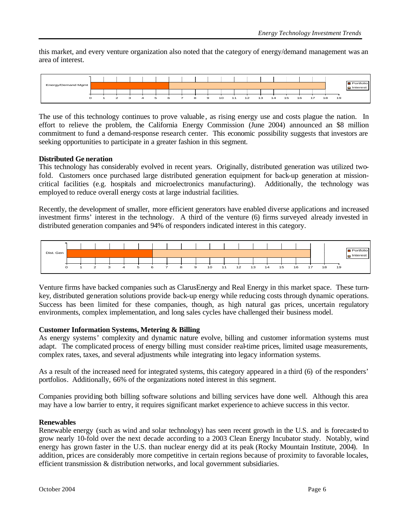this market, and every venture organization also noted that the category of energy/demand management was an area of interest.



The use of this technology continues to prove valuable, as rising energy use and costs plague the nation. In effort to relieve the problem, the California Energy Commission (June 2004) announced an \$8 million commitment to fund a demand-response research center. This economic possibility suggests that investors are seeking opportunities to participate in a greater fashion in this segment.

#### **Distributed Ge neration**

This technology has considerably evolved in recent years. Originally, distributed generation was utilized twofold. Customers once purchased large distributed generation equipment for back-up generation at missioncritical facilities (e.g. hospitals and microelectronics manufacturing). Additionally, the technology was employed to reduce overall energy costs at large industrial facilities.

Recently, the development of smaller, more efficient generators have enabled diverse applications and increased investment firms' interest in the technology. A third of the venture (6) firms surveyed already invested in distributed generation companies and 94% of responders indicated interest in this category.



Venture firms have backed companies such as ClarusEnergy and Real Energy in this market space. These turnkey, distributed generation solutions provide back-up energy while reducing costs through dynamic operations. Success has been limited for these companies, though, as high natural gas prices, uncertain regulatory environments, complex implementation, and long sales cycles have challenged their business model.

#### **Customer Information Systems, Metering & Billing**

As energy systems' complexity and dynamic nature evolve, billing and customer information systems must adapt. The complicated process of energy billing must consider real-time prices, limited usage measurements, complex rates, taxes, and several adjustments while integrating into legacy information systems.

As a result of the increased need for integrated systems, this category appeared in a third (6) of the responders' portfolios. Additionally, 66% of the organizations noted interest in this segment.

Companies providing both billing software solutions and billing services have done well. Although this area may have a low barrier to entry, it requires significant market experience to achieve success in this vector.

#### **Renewables**

Renewable energy (such as wind and solar technology) has seen recent growth in the U.S. and is forecasted to grow nearly 10-fold over the next decade according to a 2003 Clean Energy Incubator study. Notably, wind energy has grown faster in the U.S. than nuclear energy did at its peak (Rocky Mountain Institute, 2004). In addition, prices are considerably more competitive in certain regions because of proximity to favorable locales, efficient transmission & distribution networks, and local government subsidiaries.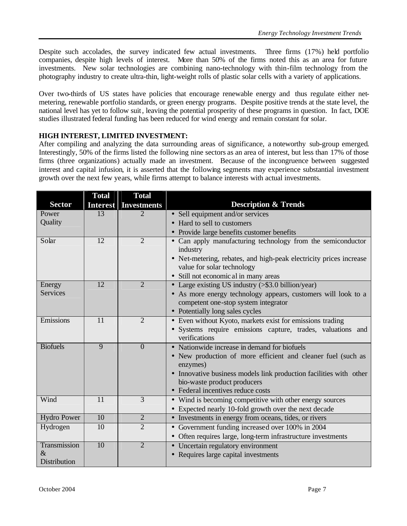Despite such accolades, the survey indicated few actual investments. Three firms (17%) held portfolio companies, despite high levels of interest. More than 50% of the firms noted this as an area for future investments. New solar technologies are combining nano-technology with thin-film technology from the photography industry to create ultra-thin, light-weight rolls of plastic solar cells with a variety of applications.

Over two-thirds of US states have policies that encourage renewable energy and thus regulate either netmetering, renewable portfolio standards, or green energy programs. Despite positive trends at the state level, the national level has yet to follow suit, leaving the potential prosperity of these programs in question. In fact, DOE studies illustrated federal funding has been reduced for wind energy and remain constant for solar.

#### **HIGH INTEREST, LIMITED INVESTMENT:**

After compiling and analyzing the data surrounding areas of significance, a noteworthy sub-group emerged. Interestingly, 50% of the firms listed the following nine sectors as an area of interest, but less than 17% of those firms (three organizations) actually made an investment. Because of the incongruence between suggested interest and capital infusion, it is asserted that the following segments may experience substantial investment growth over the next few years, while firms attempt to balance interests with actual investments.

|                    | <b>Total</b>    | <b>Total</b>          |                                                                    |
|--------------------|-----------------|-----------------------|--------------------------------------------------------------------|
| <b>Sector</b>      | <b>Interest</b> | <b>Investments</b>    | <b>Description &amp; Trends</b>                                    |
| Power              | 13              | $\mathcal{D}_{\cdot}$ | • Sell equipment and/or services                                   |
| Quality            |                 |                       | • Hard to sell to customers                                        |
|                    |                 |                       | • Provide large benefits customer benefits                         |
| Solar              | 12              | $\overline{2}$        | • Can apply manufacturing technology from the semiconductor        |
|                    |                 |                       | industry                                                           |
|                    |                 |                       | • Net-metering, rebates, and high-peak electricity prices increase |
|                    |                 |                       | value for solar technology                                         |
|                    |                 |                       | • Still not economic al in many areas                              |
| Energy             | 12              | $\overline{2}$        | • Large existing US industry (>\$3.0 billion/year)                 |
| <b>Services</b>    |                 |                       | • As more energy technology appears, customers will look to a      |
|                    |                 |                       | competent one-stop system integrator                               |
|                    |                 |                       | • Potentially long sales cycles                                    |
| Emissions          | 11              | $\overline{2}$        | • Even without Kyoto, markets exist for emissions trading          |
|                    |                 |                       | · Systems require emissions capture, trades, valuations and        |
|                    |                 |                       | verifications                                                      |
| <b>Biofuels</b>    | 9               | $\overline{0}$        | • Nationwide increase in demand for biofuels                       |
|                    |                 |                       | • New production of more efficient and cleaner fuel (such as       |
|                    |                 |                       | enzymes)                                                           |
|                    |                 |                       | • Innovative business models link production facilities with other |
|                    |                 |                       | bio-waste product producers                                        |
|                    |                 |                       | • Federal incentives reduce costs                                  |
| Wind               | $\overline{11}$ | $\overline{3}$        | • Wind is becoming competitive with other energy sources           |
|                    |                 |                       | • Expected nearly 10-fold growth over the next decade              |
| <b>Hydro Power</b> | $\overline{10}$ | $\overline{2}$        | • Investments in energy from oceans, tides, or rivers              |
| Hydrogen           | $\overline{10}$ | $\overline{2}$        | • Government funding increased over 100% in 2004                   |
|                    |                 |                       | • Often requires large, long-term infrastructure investments       |
| Transmission       | $\overline{10}$ | $\overline{2}$        | • Uncertain regulatory environment                                 |
| &                  |                 |                       | • Requires large capital investments                               |
| Distribution       |                 |                       |                                                                    |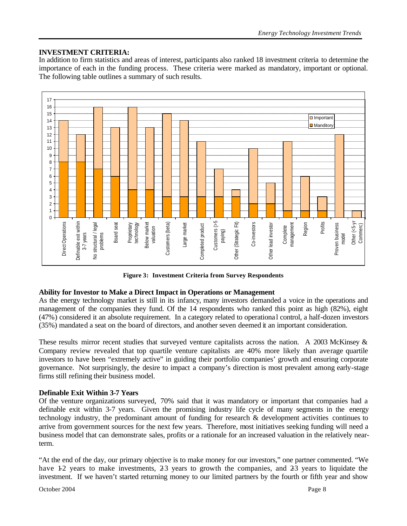#### **INVESTMENT CRITERIA:**

In addition to firm statistics and areas of interest, participants also ranked 18 investment criteria to determine the importance of each in the funding process. These criteria were marked as mandatory, important or optional. The following table outlines a summary of such results.



**Figure 3: Investment Criteria from Survey Respondents**

#### **Ability for Investor to Make a Direct Impact in Operations or Management**

As the energy technology market is still in its infancy, many investors demanded a voice in the operations and management of the companies they fund. Of the 14 respondents who ranked this point as high (82%), eight (47%) considered it an absolute requirement. In a category related to operationa l control, a half-dozen investors (35%) mandated a seat on the board of directors, and another seven deemed it an important consideration.

These results mirror recent studies that surveyed venture capitalists across the nation. A 2003 McKinsey & Company review revealed that top quartile venture capitalists are 40% more likely than average quartile investors to have been "extremely active" in guiding their portfolio companies' growth and ensuring corporate governance. Not surprisingly, the desire to impact a company's direction is most prevalent among early-stage firms still refining their business model.

#### **Definable Exit Within 3-7 Years**

Of the venture organizations surveyed, 70% said that it was mandatory or important that companies had a definable exit within 3-7 years. Given the promising industry life cycle of many segments in the energy technology industry, the predominant amount of funding for research & development activities continues to arrive from government sources for the next few years. Therefore, most initiatives seeking funding will need a business model that can demonstrate sales, profits or a rationale for an increased valuation in the relatively nearterm.

"At the end of the day, our primary objective is to make money for our investors," one partner commented. "We have 1-2 years to make investments, 2-3 years to growth the companies, and 2-3 years to liquidate the investment. If we haven't started returning money to our limited partners by the fourth or fifth year and show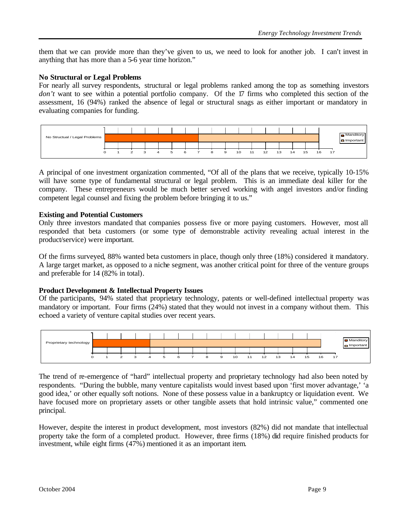them that we can provide more than they've given to us, we need to look for another job. I can't invest in anything that has more than a 5-6 year time horizon."

#### **No Structural or Legal Problems**

For nearly all survey respondents, structural or legal problems ranked among the top as something investors don't want to see within a potential portfolio company. Of the 17 firms who completed this section of the assessment, 16 (94%) ranked the absence of legal or structural snags as either important or mandatory in evaluating companies for funding.



A principal of one investment organization commented, "Of all of the plans that we receive, typically 10-15% will have some type of fundamental structural or legal problem. This is an immediate deal killer for the company. These entrepreneurs would be much better served working with angel investors and/or finding competent legal counsel and fixing the problem before bringing it to us."

#### **Existing and Potential Customers**

Only three investors mandated that companies possess five or more paying customers. However, most all responded that beta customers (or some type of demonstrable activity revealing actual interest in the product/service) were important.

Of the firms surveyed, 88% wanted beta customers in place, though only three (18%) considered it mandatory. A large target market, as opposed to a niche segment, was another critical point for three of the venture groups and preferable for 14 (82% in total).

#### **Product Development & Intellectual Property Issues**

Of the participants, 94% stated that proprietary technology, patents or well-defined intellectual property was mandatory or important. Four firms (24%) stated that they would not invest in a company without them. This echoed a variety of venture capital studies over recent years.

| Proprietary technology |         |               |              |                     |   |   |                |   |   |    |    |    |    |    |    |    |    | Manditory<br>- Important |
|------------------------|---------|---------------|--------------|---------------------|---|---|----------------|---|---|----|----|----|----|----|----|----|----|--------------------------|
|                        |         |               |              |                     |   |   |                |   |   |    |    |    |    |    |    |    |    |                          |
|                        | $\circ$ | $\mathcal{L}$ | $\mathbf{R}$ | $\overline{\bf{4}}$ | 5 | 6 | $\overline{z}$ | 8 | 9 | 10 | 11 | 12 | 13 | 14 | 15 | 16 | 17 |                          |

The trend of re-emergence of "hard" intellectual property and proprietary technology had also been noted by respondents. "During the bubble, many venture capitalists would invest based upon 'first mover advantage,' 'a good idea,' or other equally soft notions. None of these possess value in a bankruptcy or liquidation event. We have focused more on proprietary assets or other tangible assets that hold intrinsic value," commented one principal.

However, despite the interest in product development, most investors (82%) did not mandate that intellectual property take the form of a completed product. However, three firms (18%) did require finished products for investment, while eight firms (47%) mentioned it as an important item.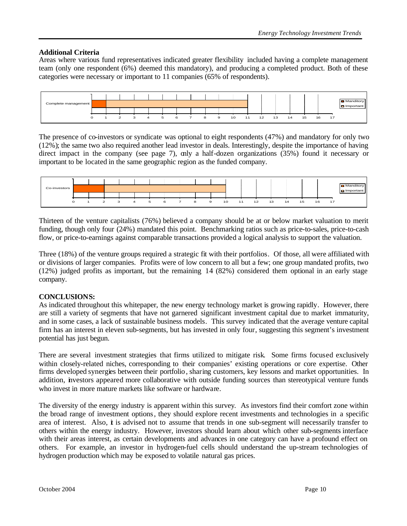#### **Additional Criteria**

Areas where various fund representatives indicated greater flexibility included having a complete management team (only one respondent (6%) deemed this mandatory), and producing a completed product. Both of these categories were necessary or important to 11 companies (65% of respondents).



The presence of co-investors or syndicate was optional to eight respondents (47%) and mandatory for only two (12%); the same two also required another lead investor in deals. Interestingly, despite the importance of having direct impact in the company (see page 7), only a half-dozen organizations (35%) found it necessary or important to be located in the same geographic region as the funded company.



Thirteen of the venture capitalists (76%) believed a company should be at or below market valuation to merit funding, though only four (24%) mandated this point. Benchmarking ratios such as price-to-sales, price-to-cash flow, or price-to-earnings against comparable transactions provided a logical analysis to support the valuation.

Three (18%) of the venture groups required a strategic fit with their portfolios. Of those, all were affiliated with or divisions of larger companies. Profits were of low concern to all but a few; one group mandated profits, two (12%) judged profits as important, but the remaining 14 (82%) considered them optional in an early stage company.

#### **CONCLUSIONS:**

As indicated throughout this whitepaper, the new energy technology market is growing rapidly. However, there are still a variety of segments that have not garnered significant investment capital due to market immaturity, and in some cases, a lack of sustainable business models. This survey indicated that the average venture capital firm has an interest in eleven sub-segments, but has invested in only four, suggesting this segment's investment potential has just begun.

There are several investment strategies that firms utilized to mitigate risk. Some firms focused exclusively within closely-related niches, corresponding to their companies' existing operations or core expertise. Other firms developed synergies between their portfolio, sharing customers, key lessons and market opportunities. In addition, investors appeared more collaborative with outside funding sources than stereotypical venture funds who invest in more mature markets like software or hardware.

The diversity of the energy industry is apparent within this survey. As investors find their comfort zone within the broad range of investment options, they should explore recent investments and technologies in a specific area of interest. Also, **i** is advised not to assume that trends in one sub-segment will necessarily transfer to others within the energy industry. However, investors should learn about which other sub-segments interface with their areas interest, as certain developments and advances in one category can have a profound effect on others. For example, an investor in hydrogen-fuel cells should understand the up-stream technologies of hydrogen production which may be exposed to volatile natural gas prices.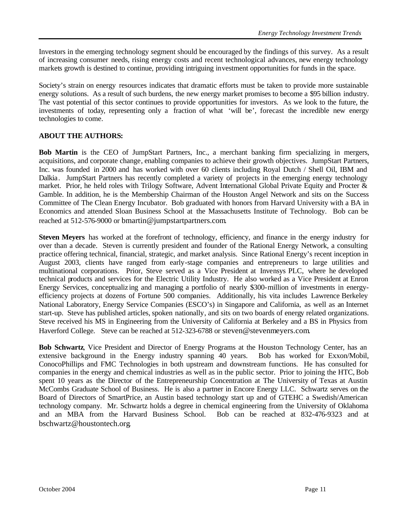Investors in the emerging technology segment should be encouraged by the findings of this survey. As a result of increasing consumer needs, rising energy costs and recent technological advances, new energy technology markets growth is destined to continue, providing intriguing investment opportunities for funds in the space.

Society's strain on energy resources indicates that dramatic efforts must be taken to provide more sustainable energy solutions. As a result of such burdens, the new energy market promises to become a \$95 billion industry. The vast potential of this sector continues to provide opportunities for investors. As we look to the future, the investments of today, representing only a fraction of what 'will be', forecast the incredible new energy technologies to come.

#### **ABOUT THE AUTHORS:**

**Bob Martin** is the CEO of JumpStart Partners, Inc., a merchant banking firm specializing in mergers, acquisitions, and corporate change, enabling companies to achieve their growth objectives. JumpStart Partners, Inc. was founded in 2000 and has worked with over 60 clients including Royal Dutch / Shell Oil, IBM and Dalkia. JumpStart Partners has recently completed a variety of projects in the emerging energy technology market. Prior, he held roles with Trilogy Software, Advent International Global Private Equity and Procter & Gamble. In addition, he is the Membership Chairman of the Houston Angel Network and sits on the Success Committee of The Clean Energy Incubator. Bob graduated with honors from Harvard University with a BA in Economics and attended Sloan Business School at the Massachusetts Institute of Technology. Bob can be reached at 512-576-9000 or bmartin@jumpstartpartners.com.

**Steven Meyers** has worked at the forefront of technology, efficiency, and finance in the energy industry for over than a decade. Steven is currently president and founder of the Rational Energy Network, a consulting practice offering technical, financial, strategic, and market analysis. Since Rational Energy's recent inception in August 2003, clients have ranged from early-stage companies and entrepreneurs to large utilities and multinational corporations. Prior, Steve served as a Vice President at Invensys PLC, where he developed technical products and services for the Electric Utility Industry. He also worked as a Vice President at Enron Energy Services, conceptualiz ing and managing a portfolio of nearly \$300-million of investments in energyefficiency projects at dozens of Fortune 500 companies. Additionally, his vita includes Lawrence Berkeley National Laboratory, Energy Service Companies (ESCO's) in Singapore and California, as well as an Internet start-up. Steve has published articles, spoken nationally, and sits on two boards of energy related organizations. Steve received his MS in Engineering from the University of California at Berkeley and a BS in Physics from Haverford College. Steve can be reached at 512-323-6788 or steven@stevenmeyers.com.

**Bob Schwartz**, Vice President and Director of Energy Programs at the Houston Technology Center, has an extensive background in the Energy industry spanning 40 years. Bob has worked for Exxon/Mobil, ConocoPhillips and FMC Technologies in both upstream and downstream functions. He has consulted for companies in the energy and chemical industries as well as in the public sector. Prior to joining the HTC, Bob spent 10 years as the Director of the Entrepreneurship Concentration at The University of Texas at Austin McCombs Graduate School of Business. He is also a partner in Encore Energy LLC. Schwartz serves on the Board of Directors of SmartPrice, an Austin based technology start up and of GTEHC a Swedish/American technology company. Mr. Schwartz holds a degree in chemical engineering from the University of Oklahoma and an MBA from the Harvard Business School. Bob can be reached at 832-476-9323 and at bschwartz@houstontech.org.